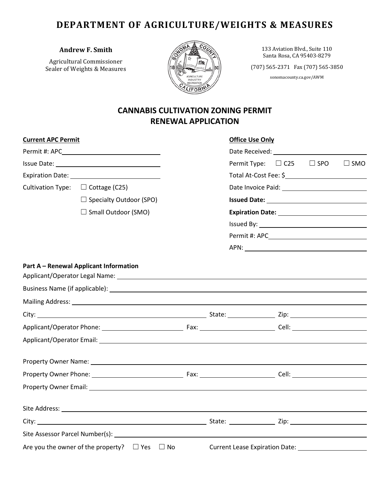# **DEPARTMENT OF AGRICULTURE/WEIGHTS & MEASURES**

### **Andrew F. Smith**

Agricultural Commissioner Sealer of Weights & Measures



133 Aviation Blvd., Suite 110 Santa Rosa, CA 95403-8279

(707) 565-2371 Fax (707) 565-3850

sonomacounty.ca.gov/AWM

## **CANNABIS CULTIVATION ZONING PERMIT RENEWAL APPLICATION**

| <b>Current APC Permit</b>                                     |                                                                                                                                                                                                                                |  |                                     | <b>Office Use Only</b>             |  |  |               |  |
|---------------------------------------------------------------|--------------------------------------------------------------------------------------------------------------------------------------------------------------------------------------------------------------------------------|--|-------------------------------------|------------------------------------|--|--|---------------|--|
|                                                               |                                                                                                                                                                                                                                |  |                                     |                                    |  |  |               |  |
|                                                               |                                                                                                                                                                                                                                |  |                                     | Permit Type: $\Box$ C25 $\Box$ SPO |  |  | $\square$ SMO |  |
|                                                               |                                                                                                                                                                                                                                |  |                                     |                                    |  |  |               |  |
|                                                               | Cultivation Type: $\Box$ Cottage (C25)                                                                                                                                                                                         |  |                                     |                                    |  |  |               |  |
|                                                               | $\Box$ Specialty Outdoor (SPO)                                                                                                                                                                                                 |  |                                     |                                    |  |  |               |  |
| $\Box$ Small Outdoor (SMO)                                    |                                                                                                                                                                                                                                |  |                                     |                                    |  |  |               |  |
|                                                               |                                                                                                                                                                                                                                |  |                                     |                                    |  |  |               |  |
|                                                               |                                                                                                                                                                                                                                |  |                                     |                                    |  |  |               |  |
|                                                               |                                                                                                                                                                                                                                |  |                                     |                                    |  |  |               |  |
|                                                               | Part A - Renewal Applicant Information                                                                                                                                                                                         |  |                                     |                                    |  |  |               |  |
|                                                               |                                                                                                                                                                                                                                |  |                                     |                                    |  |  |               |  |
|                                                               |                                                                                                                                                                                                                                |  |                                     |                                    |  |  |               |  |
|                                                               |                                                                                                                                                                                                                                |  |                                     |                                    |  |  |               |  |
|                                                               |                                                                                                                                                                                                                                |  |                                     |                                    |  |  |               |  |
|                                                               | Applicant/Operator Email: Law Contract Contract Contract Contract Contract Contract Contract Contract Contract Contract Contract Contract Contract Contract Contract Contract Contract Contract Contract Contract Contract Con |  |                                     |                                    |  |  |               |  |
|                                                               |                                                                                                                                                                                                                                |  |                                     |                                    |  |  |               |  |
|                                                               |                                                                                                                                                                                                                                |  |                                     |                                    |  |  |               |  |
|                                                               |                                                                                                                                                                                                                                |  |                                     |                                    |  |  |               |  |
|                                                               |                                                                                                                                                                                                                                |  |                                     |                                    |  |  |               |  |
|                                                               |                                                                                                                                                                                                                                |  |                                     |                                    |  |  |               |  |
|                                                               | Site Assessor Parcel Number(s): Name of the Site of the Assessor Parcel Number (s):                                                                                                                                            |  |                                     |                                    |  |  |               |  |
| Are you the owner of the property? $\square$ Yes<br>$\Box$ No |                                                                                                                                                                                                                                |  | Current Lease Expiration Date: ____ |                                    |  |  |               |  |